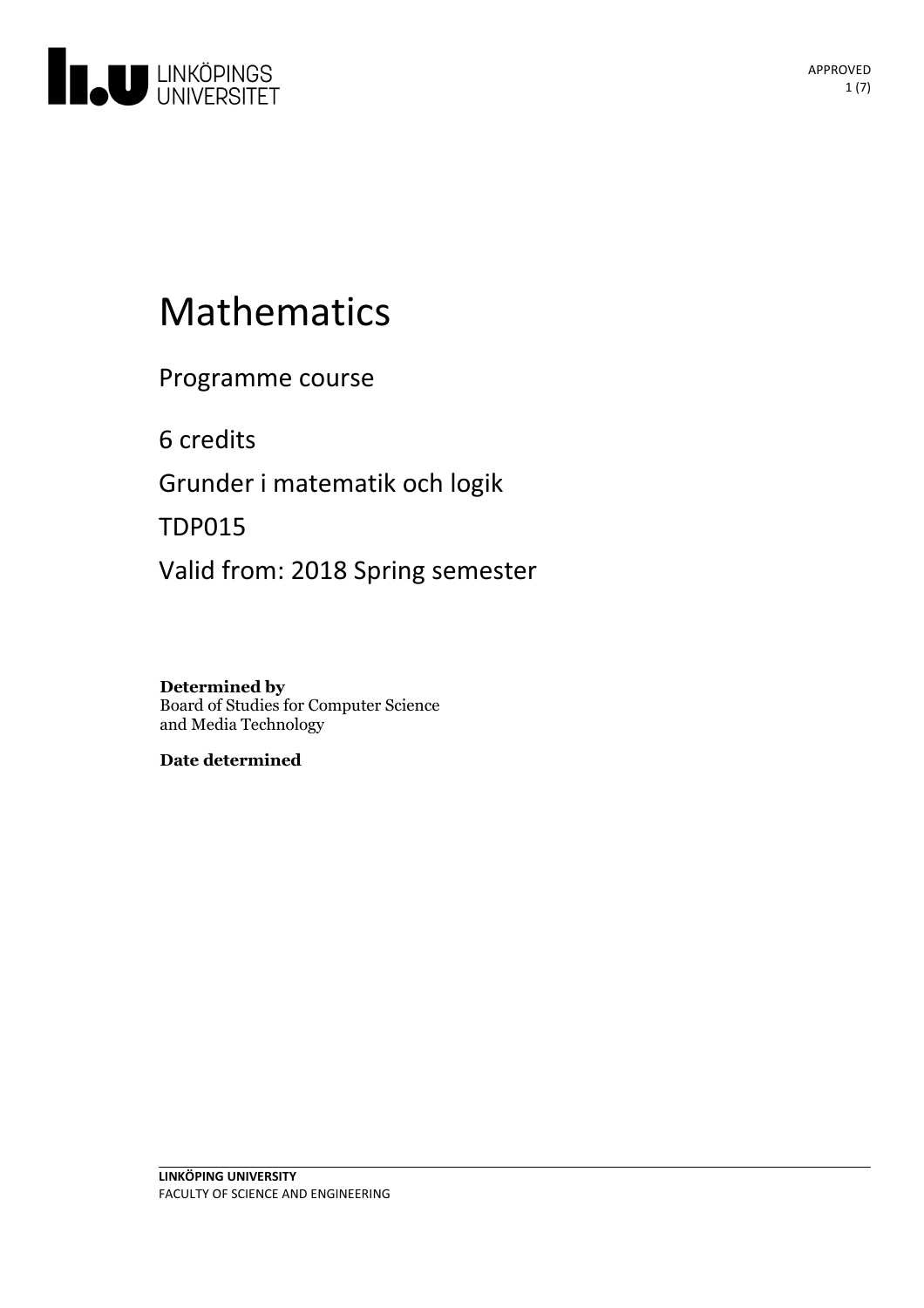

# Mathematics

Programme course

6 credits

Grunder i matematik och logik

TDP015

Valid from: 2018 Spring semester

**Determined by** Board of Studies for Computer Science and Media Technology

**Date determined**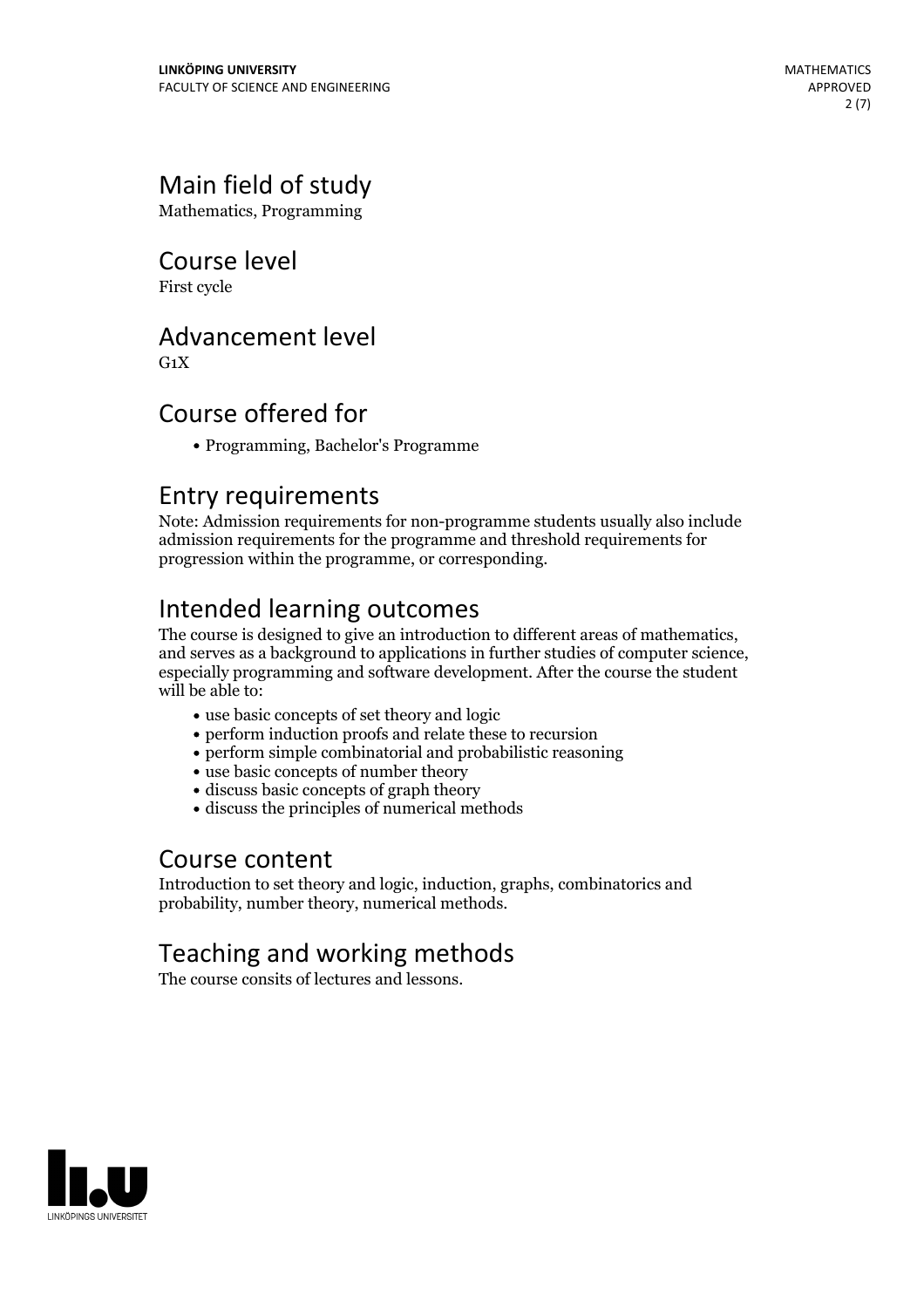# Main field of study

Mathematics, Programming

# Course level

First cycle

# Advancement level

 $G_1X$ 

# Course offered for

Programming, Bachelor's Programme

# Entry requirements

Note: Admission requirements for non-programme students usually also include admission requirements for the programme and threshold requirements for progression within the programme, or corresponding.

Intended learning outcomes<br>The course is designed to give an introduction to different areas of mathematics, and serves as a background to applications in further studies of computer science, especially programming and software development. After the course the student will be able to:

- use basic concepts of set theory and logic
- perform induction proofs and relate these to recursion
- perform simple combinatorial and probabilistic reasoning
- use basic concepts of number theory
- discuss basic concepts of graph theory
- discuss the principles of numerical methods

## Course content

Introduction to set theory and logic, induction, graphs, combinatorics and probability, number theory, numerical methods.

# Teaching and working methods

The course consits of lectures and lessons.

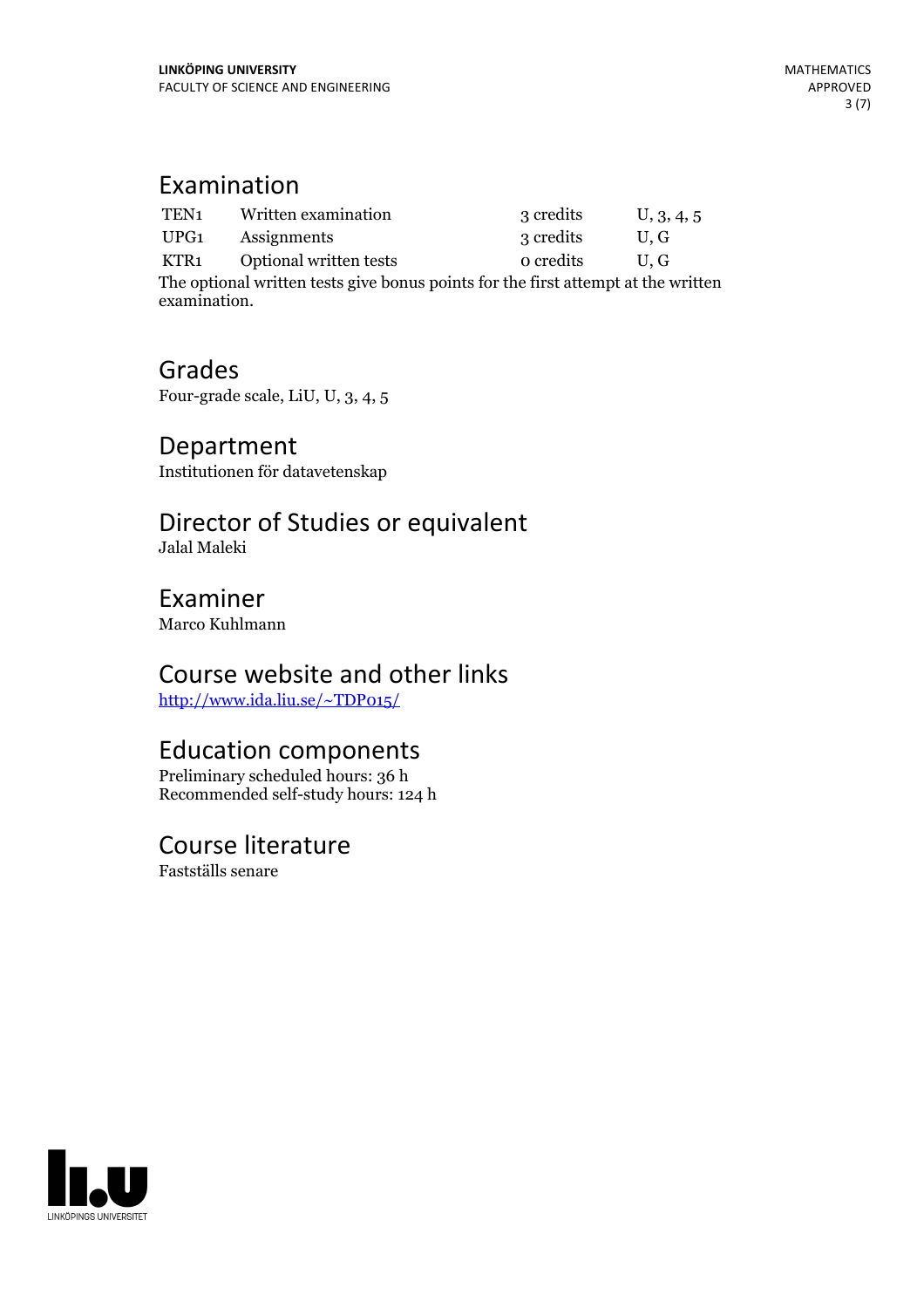# Examination

| TEN <sub>1</sub>                                                                  | Written examination    | 3 credits | U, 3, 4, 5 |
|-----------------------------------------------------------------------------------|------------------------|-----------|------------|
| UPG1                                                                              | Assignments            | 3 credits | U.G        |
| KTR1                                                                              | Optional written tests | o credits | IL G       |
| The optional written tests give bonus points for the first attempt at the written |                        |           |            |

examination.

# Grades

Four-grade scale, LiU, U, 3, 4, 5

#### Department Institutionen för datavetenskap

### Director of Studies or equivalent Jalal Maleki

Examiner

Marco Kuhlmann

# Course website and other links

<http://www.ida.liu.se/~TDP015/>

# Education components

Preliminary scheduled hours: 36 h Recommended self-study hours: 124 h

### Course literature Fastställs senare

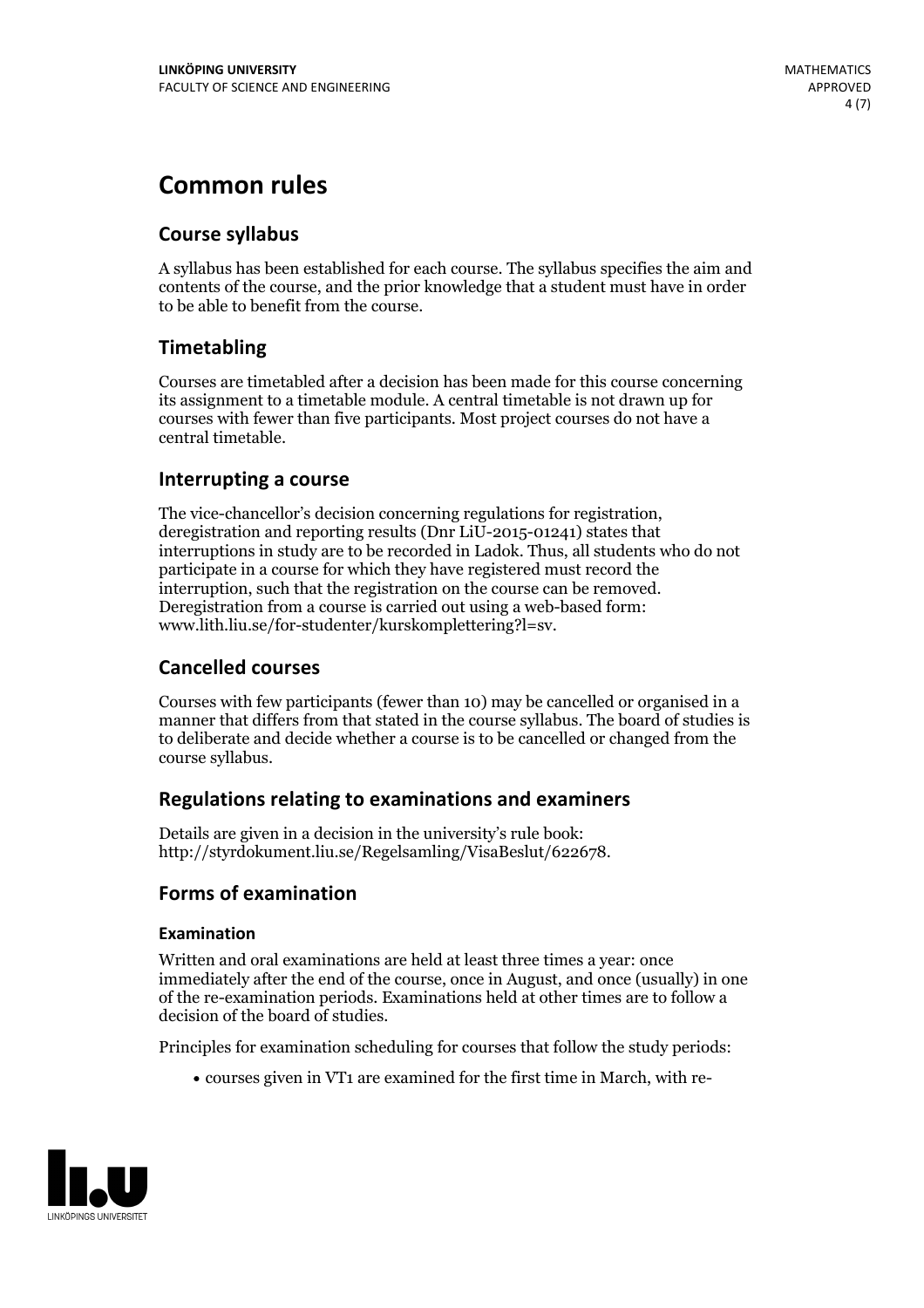# **Common rules**

#### **Course syllabus**

A syllabus has been established for each course. The syllabus specifies the aim and contents of the course, and the prior knowledge that a student must have in order to be able to benefit from the course.

#### **Timetabling**

Courses are timetabled after a decision has been made for this course concerning its assignment to a timetable module. A central timetable is not drawn up for courses with fewer than five participants. Most project courses do not have a central timetable.

#### **Interrupting a course**

The vice-chancellor's decision concerning regulations for registration, deregistration and reporting results (Dnr LiU-2015-01241) states that interruptions in study are to be recorded in Ladok. Thus, all students who do not participate in a course for which they have registered must record the interruption, such that the registration on the course can be removed. Deregistration from <sup>a</sup> course is carried outusing <sup>a</sup> web-based form: www.lith.liu.se/for-studenter/kurskomplettering?l=sv.

#### **Cancelled courses**

Courses with few participants (fewer than 10) may be cancelled or organised in a manner that differs from that stated in the course syllabus. The board of studies is to deliberate and decide whether a course is to be cancelled orchanged from the course syllabus.

#### **Regulations relatingto examinations and examiners**

Details are given in a decision in the university's rule book: http://styrdokument.liu.se/Regelsamling/VisaBeslut/622678.

#### **Forms of examination**

#### **Examination**

Written and oral examinations are held at least three times a year: once immediately after the end of the course, once in August, and once (usually) in one of the re-examination periods. Examinations held at other times are to follow a decision of the board of studies.

Principles for examination scheduling for courses that follow the study periods:

courses given in VT1 are examined for the first time in March, with re-

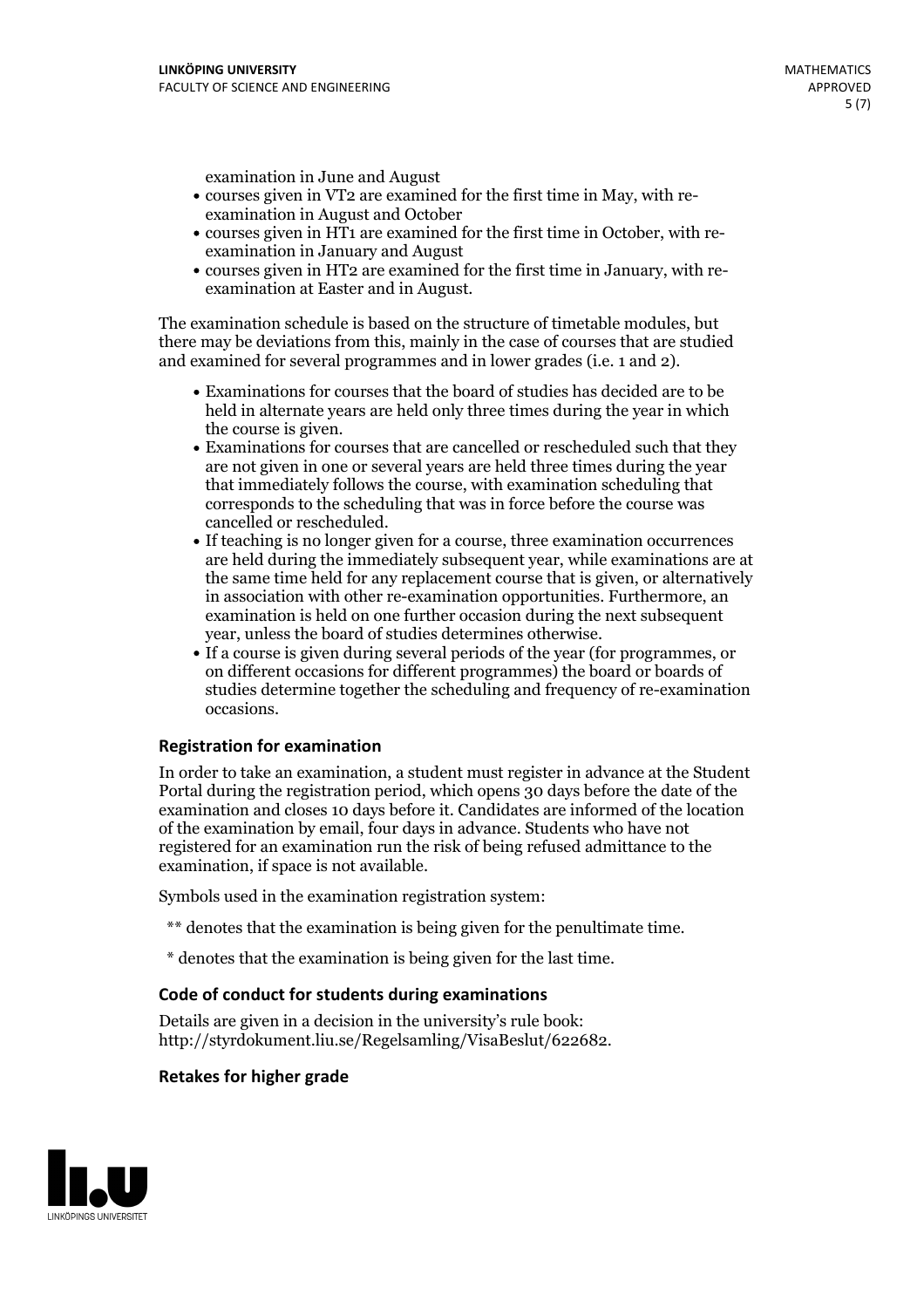examination in June and August

- courses given in VT2 are examined for the first time in May, with re-examination in August and October
- courses given in HT1 are examined for the first time in October, with re-examination in January and August
- courses given in HT2 are examined for the first time in January, with re-examination at Easter and in August.

The examination schedule is based on the structure of timetable modules, but there may be deviations from this, mainly in the case of courses that are studied and examined for several programmes and in lower grades (i.e. 1 and 2).

- Examinations for courses that the board of studies has decided are to be held in alternate years are held only three times during the year in which
- the course is given.<br>• Examinations for courses that are cancelled or rescheduled such that they are not given in one or several years are held three times during the year that immediately follows the course, with examination scheduling that corresponds to the scheduling that was in force before the course was cancelled or rescheduled.<br>• If teaching is no longer given for a course, three examination occurrences
- are held during the immediately subsequent year, while examinations are at the same time held for any replacement course that is given, or alternatively in association with other re-examination opportunities. Furthermore, an examination is held on one further occasion during the next subsequent year, unless the board of studies determines otherwise.<br>• If a course is given during several periods of the year (for programmes, or
- on different occasions for different programmes) the board orboards of studies determine together the scheduling and frequency of re-examination occasions.

#### **Registration for examination**

In order to take an examination, a student must register in advance at the Student Portal during the registration period, which opens 30 days before the date of the examination and closes 10 days before it. Candidates are informed of the location of the examination by email, four days in advance. Students who have not registered for an examination run the risk of being refused admittance to the examination, if space is not available.

Symbols used in the examination registration system:

- \*\* denotes that the examination is being given for the penultimate time.
- \* denotes that the examination is being given for the last time.

#### **Code of conduct for students during examinations**

Details are given in a decision in the university's rule book: http://styrdokument.liu.se/Regelsamling/VisaBeslut/622682.

#### **Retakes for higher grade**

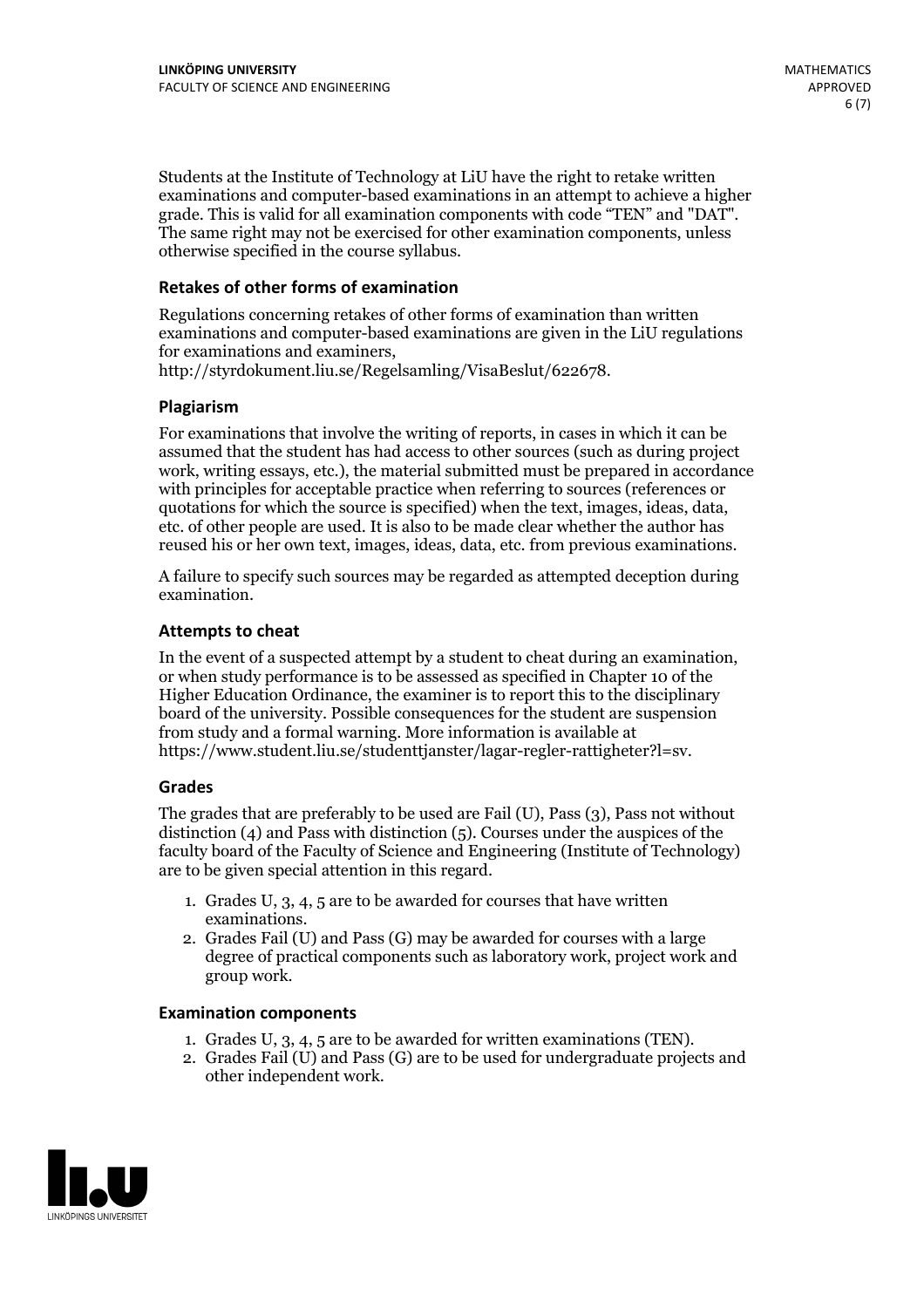Students at the Institute of Technology at LiU have the right to retake written examinations and computer-based examinations in an attempt to achieve a higher grade. This is valid for all examination components with code "TEN" and "DAT". The same right may not be exercised for other examination components, unless otherwise specified in the course syllabus.

#### **Retakes of other forms of examination**

Regulations concerning retakes of other forms of examination than written examinations and computer-based examinations are given in the LiU regulations for examinations and examiners, http://styrdokument.liu.se/Regelsamling/VisaBeslut/622678.

#### **Plagiarism**

For examinations that involve the writing of reports, in cases in which it can be assumed that the student has had access to other sources (such as during project work, writing essays, etc.), the material submitted must be prepared in accordance with principles for acceptable practice when referring to sources (references or quotations for which the source is specified) when the text, images, ideas, data, etc. of other people are used. It is also to be made clear whether the author has reused his or her own text, images, ideas, data, etc. from previous examinations.

A failure to specify such sources may be regarded as attempted deception during examination.

#### **Attempts to cheat**

In the event of <sup>a</sup> suspected attempt by <sup>a</sup> student to cheat during an examination, or when study performance is to be assessed as specified in Chapter <sup>10</sup> of the Higher Education Ordinance, the examiner is to report this to the disciplinary board of the university. Possible consequences for the student are suspension from study and a formal warning. More information is available at https://www.student.liu.se/studenttjanster/lagar-regler-rattigheter?l=sv.

#### **Grades**

The grades that are preferably to be used are Fail (U), Pass (3), Pass not without distinction  $(4)$  and Pass with distinction  $(5)$ . Courses under the auspices of the faculty board of the Faculty of Science and Engineering (Institute of Technology) are to be given special attention in this regard.

- 1. Grades U, 3, 4, 5 are to be awarded for courses that have written
- examinations. 2. Grades Fail (U) and Pass (G) may be awarded for courses with <sup>a</sup> large degree of practical components such as laboratory work, project work and group work.

#### **Examination components**

- 
- 1. Grades U, 3, 4, <sup>5</sup> are to be awarded for written examinations (TEN). 2. Grades Fail (U) and Pass (G) are to be used for undergraduate projects and other independent work.